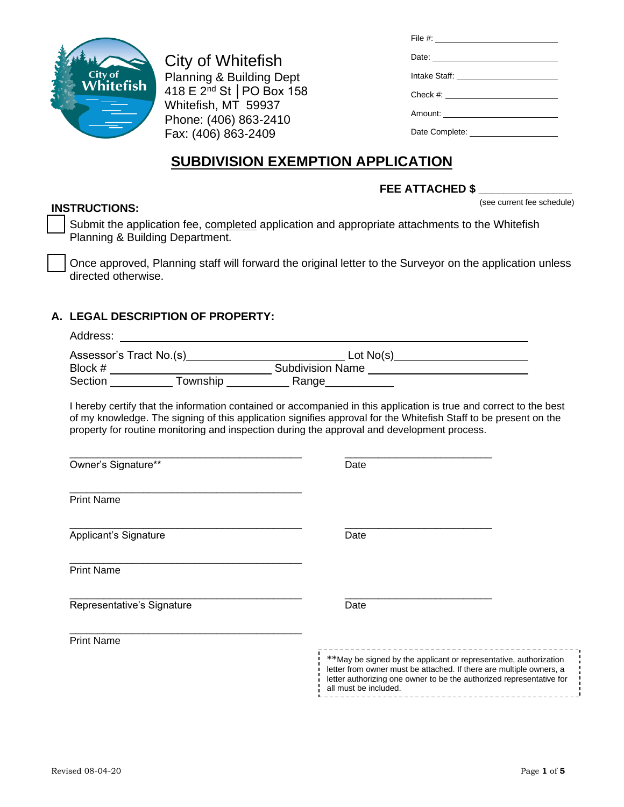

City of Whitefish Planning & Building Dept 418 E 2nd St │PO Box 158 Whitefish, MT 59937 Phone: (406) 863-2410 Fax: (406) 863-2409

| File #: ________________________ |
|----------------------------------|
|                                  |
|                                  |
|                                  |
|                                  |
|                                  |

# **SUBDIVISION EXEMPTION APPLICATION**

## FEE ATTACHED \$

(see current fee schedule)

**INSTRUCTIONS:**

Submit the application fee, completed application and appropriate attachments to the Whitefish Planning & Building Department.

Once approved, Planning staff will forward the original letter to the Surveyor on the application unless directed otherwise.

## **A. LEGAL DESCRIPTION OF PROPERTY:**

| Address:                                                                                    |                                                                                                                                                                                                                                        |
|---------------------------------------------------------------------------------------------|----------------------------------------------------------------------------------------------------------------------------------------------------------------------------------------------------------------------------------------|
|                                                                                             |                                                                                                                                                                                                                                        |
|                                                                                             |                                                                                                                                                                                                                                        |
|                                                                                             |                                                                                                                                                                                                                                        |
| property for routine monitoring and inspection during the approval and development process. | I hereby certify that the information contained or accompanied in this application is true and correct to the best<br>of my knowledge. The signing of this application signifies approval for the Whitefish Staff to be present on the |
| Owner's Signature**                                                                         | Date                                                                                                                                                                                                                                   |
| <b>Print Name</b>                                                                           |                                                                                                                                                                                                                                        |
| Applicant's Signature                                                                       | Date                                                                                                                                                                                                                                   |
| <b>Print Name</b>                                                                           |                                                                                                                                                                                                                                        |
| Representative's Signature                                                                  | Date                                                                                                                                                                                                                                   |
| <b>Print Name</b>                                                                           | ________________________________<br>**May be signed by the applicant or representative, authorization                                                                                                                                  |
|                                                                                             | letter from owner must be attached. If there are multiple owners, a<br>letter authorizing one owner to be the authorized representative for<br>all must be included.<br>------------------------------                                 |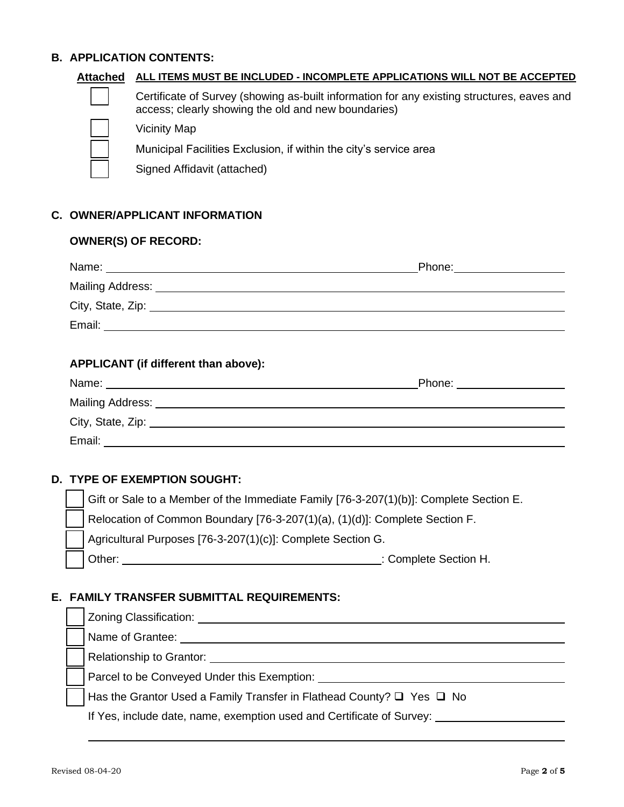#### **B. APPLICATION CONTENTS:**

| Attached | ALL ITEMS MUST BE INCLUDED - INCOMPLETE APPLICATIONS WILL NOT BE ACCEPTED                                                                         |
|----------|---------------------------------------------------------------------------------------------------------------------------------------------------|
|          | Certificate of Survey (showing as-built information for any existing structures, eaves and<br>access; clearly showing the old and new boundaries) |
|          | <b>Vicinity Map</b>                                                                                                                               |
|          | Municipal Facilities Exclusion, if within the city's service area                                                                                 |
|          | Signed Affidavit (attached)                                                                                                                       |
|          |                                                                                                                                                   |

### **C. OWNER/APPLICANT INFORMATION**

#### **OWNER(S) OF RECORD:**

|                                                                    | Phone: ____________________ |
|--------------------------------------------------------------------|-----------------------------|
|                                                                    |                             |
|                                                                    |                             |
| Email:<br><u> 1989 - John Stone, amerikansk politiker (* 1989)</u> |                             |
|                                                                    |                             |

#### **APPLICANT (if different than above):**

|                   | Phone: ________________ |
|-------------------|-------------------------|
| Mailing Address:  |                         |
| City, State, Zip: |                         |
| Email:            |                         |

### **D. TYPE OF EXEMPTION SOUGHT:**

Gift or Sale to a Member of the Immediate Family [76-3-207(1)(b)]: Complete Section E.

Relocation of Common Boundary [76-3-207(1)(a), (1)(d)]: Complete Section F.

Agricultural Purposes [76-3-207(1)(c)]: Complete Section G.

❑ Other: : Complete Section H.

#### **E. FAMILY TRANSFER SUBMITTAL REQUIREMENTS:**

|  | Zoning Classification:                                                          |
|--|---------------------------------------------------------------------------------|
|  | Name of Grantee:                                                                |
|  | Relationship to Grantor: ___                                                    |
|  | Parcel to be Conveyed Under this Exemption:                                     |
|  | Has the Grantor Used a Family Transfer in Flathead County? $\Box$ Yes $\Box$ No |
|  | If Yes, include date, name, exemption used and Certificate of Survey:           |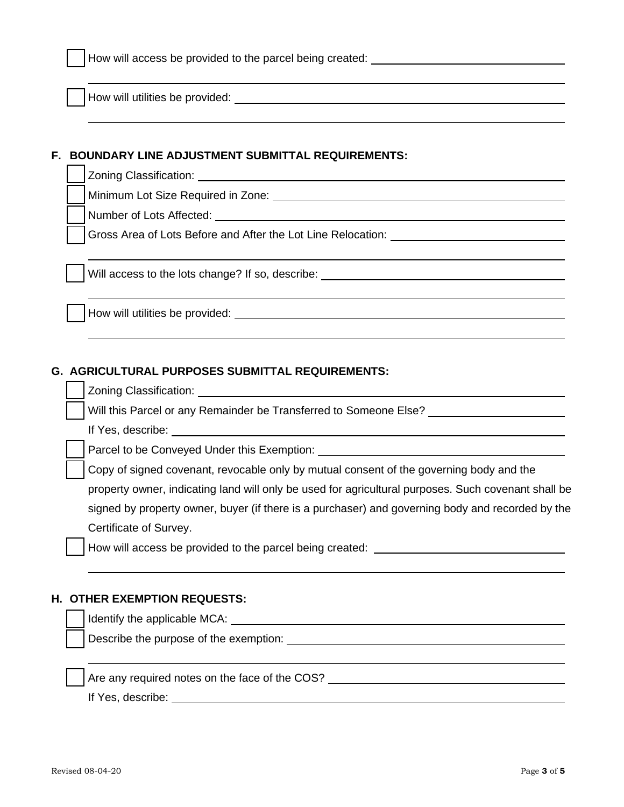How will utilities be provided:

#### **F. BOUNDARY LINE ADJUSTMENT SUBMITTAL REQUIREMENTS:**

Zoning Classification:

❑ Minimum Lot Size Required in Zone:

❑ Number of Lots Affected:

Gross Area of Lots Before and After the Lot Line Relocation: \_\_\_\_\_\_\_\_\_\_\_\_\_\_\_\_\_\_\_

Will access to the lots change? If so, describe: \_\_\_\_\_\_\_\_\_\_\_\_\_\_\_\_\_\_\_\_\_\_\_\_\_\_\_\_\_\_\_

How will utilities be provided:

#### **G. AGRICULTURAL PURPOSES SUBMITTAL REQUIREMENTS:**

❑ Zoning Classification:

Will this Parcel or any Remainder be Transferred to Someone Else?

If Yes, describe:

Parcel to be Conveyed Under this Exemption: \_\_\_\_\_\_\_

Copy of signed covenant, revocable only by mutual consent of the governing body and the property owner, indicating land will only be used for agricultural purposes. Such covenant shall be signed by property owner, buyer (if there is a purchaser) and governing body and recorded by the Certificate of Survey.

❑ How will access be provided to the parcel being created:

#### **H. OTHER EXEMPTION REQUESTS:**

Identify the applicable MCA: University of the applicable MCA:

Describe the purpose of the exemption: <u>examption:</u> example the exemption of the set of the set of the set of the set of the set of the set of the set of the set of the set of the set of the set of the set of the set of th

Are any required notes on the face of the COS?<br>
<u>Example 2008</u>

If Yes, describe: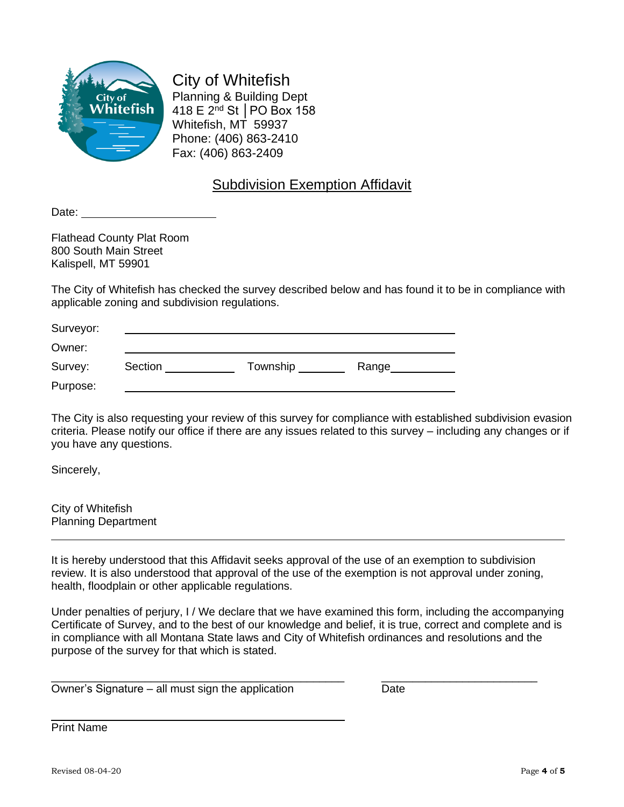

City of Whitefish Planning & Building Dept 418 E 2nd St │PO Box 158 Whitefish, MT 59937 Phone: (406) 863-2410 Fax: (406) 863-2409

# Subdivision Exemption Affidavit

Date:

Flathead County Plat Room 800 South Main Street Kalispell, MT 59901

The City of Whitefish has checked the survey described below and has found it to be in compliance with applicable zoning and subdivision regulations.

| Surveyor: |         |          |       |
|-----------|---------|----------|-------|
| Owner:    |         |          |       |
| Survey:   | Section | Township | Range |
| Purpose:  |         |          |       |

The City is also requesting your review of this survey for compliance with established subdivision evasion criteria. Please notify our office if there are any issues related to this survey – including any changes or if you have any questions.

Sincerely,

City of Whitefish Planning Department

It is hereby understood that this Affidavit seeks approval of the use of an exemption to subdivision review. It is also understood that approval of the use of the exemption is not approval under zoning, health, floodplain or other applicable regulations.

Under penalties of perjury, I / We declare that we have examined this form, including the accompanying Certificate of Survey, and to the best of our knowledge and belief, it is true, correct and complete and is in compliance with all Montana State laws and City of Whitefish ordinances and resolutions and the purpose of the survey for that which is stated.

\_\_\_\_\_\_\_\_\_\_\_\_\_\_\_\_\_\_\_\_\_\_\_\_\_\_\_\_\_\_\_\_\_\_\_\_\_\_\_\_\_\_\_\_\_\_\_ \_\_\_\_\_\_\_\_\_\_\_\_\_\_\_\_\_\_\_\_\_\_\_\_\_

Owner's Signature – all must sign the application Date

Print Name